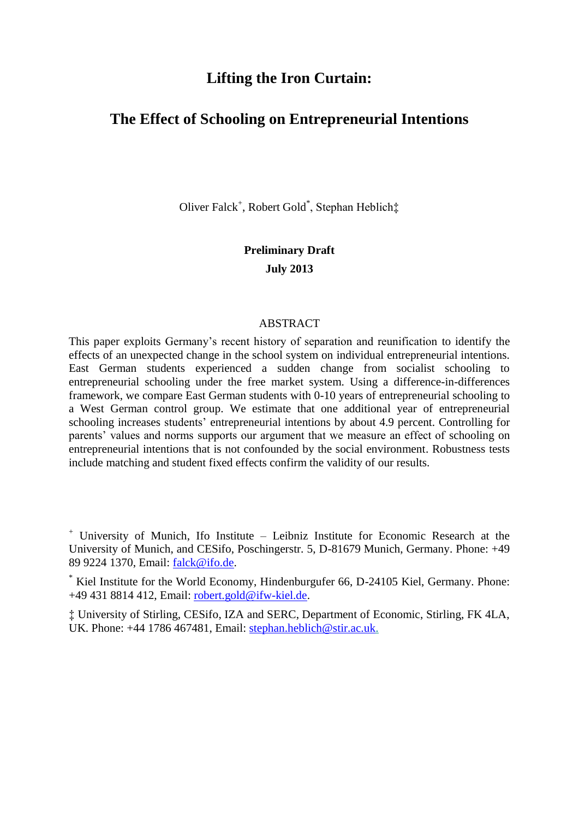# **Lifting the Iron Curtain:**

# **The Effect of Schooling on Entrepreneurial Intentions**

Oliver Falck<sup>+</sup>, Robert Gold<sup>\*</sup>, Stephan Heblich‡

# **Preliminary Draft July 2013**

### ABSTRACT

This paper exploits Germany's recent history of separation and reunification to identify the effects of an unexpected change in the school system on individual entrepreneurial intentions. East German students experienced a sudden change from socialist schooling to entrepreneurial schooling under the free market system. Using a difference-in-differences framework, we compare East German students with 0-10 years of entrepreneurial schooling to a West German control group. We estimate that one additional year of entrepreneurial schooling increases students' entrepreneurial intentions by about 4.9 percent. Controlling for parents' values and norms supports our argument that we measure an effect of schooling on entrepreneurial intentions that is not confounded by the social environment. Robustness tests include matching and student fixed effects confirm the validity of our results.

<sup>+</sup> University of Munich, Ifo Institute – Leibniz Institute for Economic Research at the University of Munich, and CESifo, Poschingerstr. 5, D-81679 Munich, Germany. Phone: +49 89 9224 1370, Email: [falck@ifo.de.](mailto:falck@ifo.de)

\* Kiel Institute for the World Economy, Hindenburgufer 66, D-24105 Kiel, Germany. Phone: +49 431 8814 412, Email: robert.gold@ifw-kiel.de.

‡ University of Stirling, CESifo, IZA and SERC, Department of Economic, Stirling, FK 4LA, UK. Phone: +44 1786 467481, Email: [stephan.heblich@stir.ac.uk.](mailto:stephan.heblich@stir.ac.uk)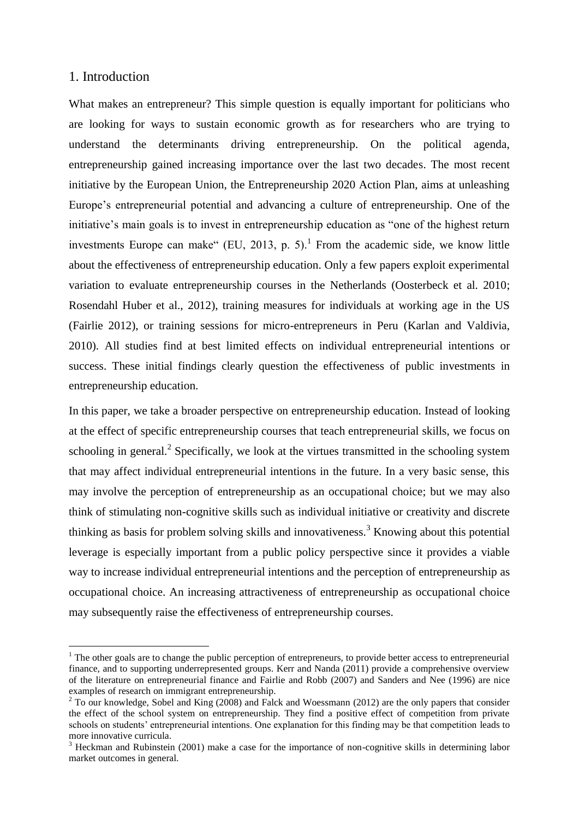# 1. Introduction

1

What makes an entrepreneur? This simple question is equally important for politicians who are looking for ways to sustain economic growth as for researchers who are trying to understand the determinants driving entrepreneurship. On the political agenda, entrepreneurship gained increasing importance over the last two decades. The most recent initiative by the European Union, the Entrepreneurship 2020 Action Plan, aims at unleashing Europe's entrepreneurial potential and advancing a culture of entrepreneurship. One of the initiative's main goals is to invest in entrepreneurship education as "one of the highest return investments Europe can make"  $(EU, 2013, p. 5)$ .<sup>1</sup> From the academic side, we know little about the effectiveness of entrepreneurship education. Only a few papers exploit experimental variation to evaluate entrepreneurship courses in the Netherlands (Oosterbeck et al. 2010; Rosendahl Huber et al., 2012), training measures for individuals at working age in the US (Fairlie 2012), or training sessions for micro-entrepreneurs in Peru (Karlan and Valdivia, 2010). All studies find at best limited effects on individual entrepreneurial intentions or success. These initial findings clearly question the effectiveness of public investments in entrepreneurship education.

In this paper, we take a broader perspective on entrepreneurship education. Instead of looking at the effect of specific entrepreneurship courses that teach entrepreneurial skills, we focus on schooling in general.<sup>2</sup> Specifically, we look at the virtues transmitted in the schooling system that may affect individual entrepreneurial intentions in the future. In a very basic sense, this may involve the perception of entrepreneurship as an occupational choice; but we may also think of stimulating non-cognitive skills such as individual initiative or creativity and discrete thinking as basis for problem solving skills and innovativeness.<sup>3</sup> Knowing about this potential leverage is especially important from a public policy perspective since it provides a viable way to increase individual entrepreneurial intentions and the perception of entrepreneurship as occupational choice. An increasing attractiveness of entrepreneurship as occupational choice may subsequently raise the effectiveness of entrepreneurship courses.

 $<sup>1</sup>$  The other goals are to change the public perception of entrepreneurs, to provide better access to entrepreneurial</sup> finance, and to supporting underrepresented groups. Kerr and Nanda (2011) provide a comprehensive overview of the literature on entrepreneurial finance and Fairlie and Robb (2007) and Sanders and Nee (1996) are nice examples of research on immigrant entrepreneurship.

<sup>&</sup>lt;sup>2</sup> To our knowledge, Sobel and King (2008) and Falck and Woessmann (2012) are the only papers that consider the effect of the school system on entrepreneurship. They find a positive effect of competition from private schools on students' entrepreneurial intentions. One explanation for this finding may be that competition leads to more innovative curricula.

<sup>&</sup>lt;sup>3</sup> Heckman and Rubinstein (2001) make a case for the importance of non-cognitive skills in determining labor market outcomes in general.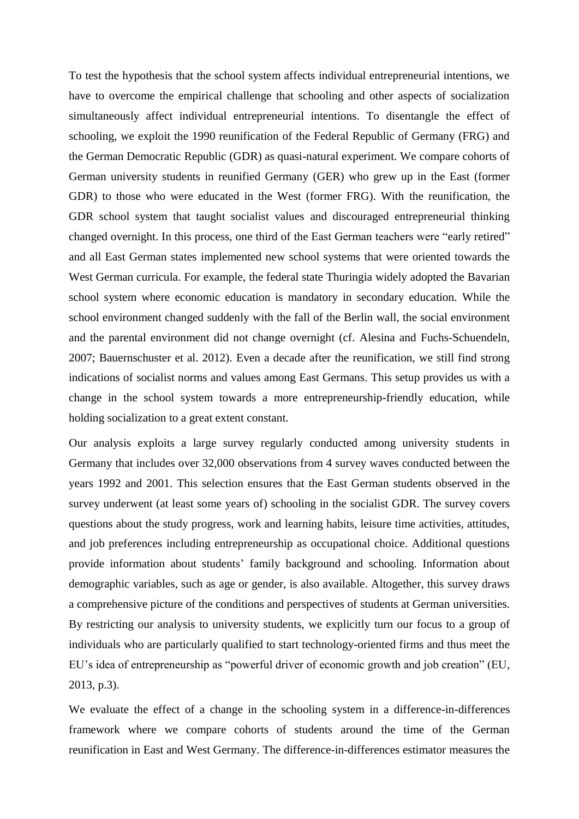To test the hypothesis that the school system affects individual entrepreneurial intentions, we have to overcome the empirical challenge that schooling and other aspects of socialization simultaneously affect individual entrepreneurial intentions. To disentangle the effect of schooling, we exploit the 1990 reunification of the Federal Republic of Germany (FRG) and the German Democratic Republic (GDR) as quasi-natural experiment. We compare cohorts of German university students in reunified Germany (GER) who grew up in the East (former GDR) to those who were educated in the West (former FRG). With the reunification, the GDR school system that taught socialist values and discouraged entrepreneurial thinking changed overnight. In this process, one third of the East German teachers were "early retired" and all East German states implemented new school systems that were oriented towards the West German curricula. For example, the federal state Thuringia widely adopted the Bavarian school system where economic education is mandatory in secondary education. While the school environment changed suddenly with the fall of the Berlin wall, the social environment and the parental environment did not change overnight (cf. Alesina and Fuchs-Schuendeln, 2007; Bauernschuster et al. 2012). Even a decade after the reunification, we still find strong indications of socialist norms and values among East Germans. This setup provides us with a change in the school system towards a more entrepreneurship-friendly education, while holding socialization to a great extent constant.

Our analysis exploits a large survey regularly conducted among university students in Germany that includes over 32,000 observations from 4 survey waves conducted between the years 1992 and 2001. This selection ensures that the East German students observed in the survey underwent (at least some years of) schooling in the socialist GDR. The survey covers questions about the study progress, work and learning habits, leisure time activities, attitudes, and job preferences including entrepreneurship as occupational choice. Additional questions provide information about students' family background and schooling. Information about demographic variables, such as age or gender, is also available. Altogether, this survey draws a comprehensive picture of the conditions and perspectives of students at German universities. By restricting our analysis to university students, we explicitly turn our focus to a group of individuals who are particularly qualified to start technology-oriented firms and thus meet the EU's idea of entrepreneurship as "powerful driver of economic growth and job creation" (EU, 2013, p.3).

We evaluate the effect of a change in the schooling system in a difference-in-differences framework where we compare cohorts of students around the time of the German reunification in East and West Germany. The difference-in-differences estimator measures the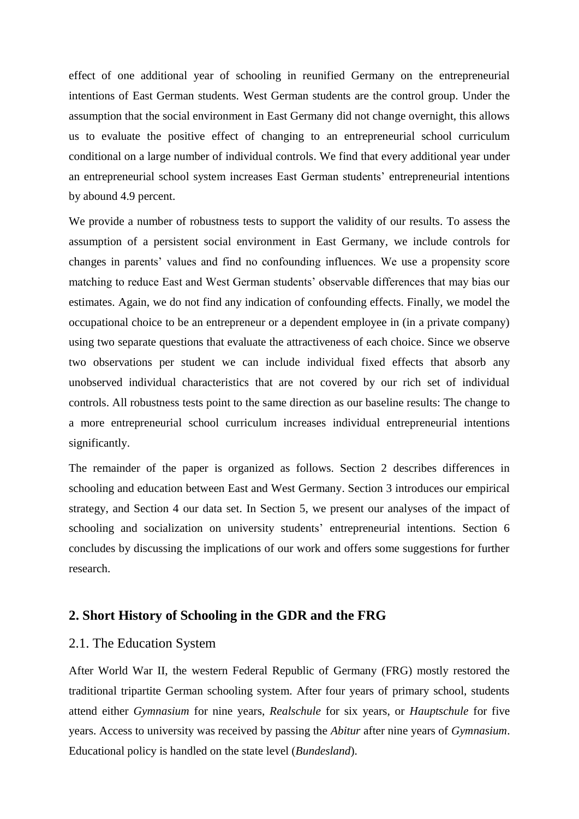effect of one additional year of schooling in reunified Germany on the entrepreneurial intentions of East German students. West German students are the control group. Under the assumption that the social environment in East Germany did not change overnight, this allows us to evaluate the positive effect of changing to an entrepreneurial school curriculum conditional on a large number of individual controls. We find that every additional year under an entrepreneurial school system increases East German students' entrepreneurial intentions by abound 4.9 percent.

We provide a number of robustness tests to support the validity of our results. To assess the assumption of a persistent social environment in East Germany, we include controls for changes in parents' values and find no confounding influences. We use a propensity score matching to reduce East and West German students' observable differences that may bias our estimates. Again, we do not find any indication of confounding effects. Finally, we model the occupational choice to be an entrepreneur or a dependent employee in (in a private company) using two separate questions that evaluate the attractiveness of each choice. Since we observe two observations per student we can include individual fixed effects that absorb any unobserved individual characteristics that are not covered by our rich set of individual controls. All robustness tests point to the same direction as our baseline results: The change to a more entrepreneurial school curriculum increases individual entrepreneurial intentions significantly.

The remainder of the paper is organized as follows. Section 2 describes differences in schooling and education between East and West Germany. Section 3 introduces our empirical strategy, and Section 4 our data set. In Section 5, we present our analyses of the impact of schooling and socialization on university students' entrepreneurial intentions. Section 6 concludes by discussing the implications of our work and offers some suggestions for further research.

# **2. Short History of Schooling in the GDR and the FRG**

### 2.1. The Education System

After World War II, the western Federal Republic of Germany (FRG) mostly restored the traditional tripartite German schooling system. After four years of primary school, students attend either *Gymnasium* for nine years, *Realschule* for six years, or *Hauptschule* for five years. Access to university was received by passing the *Abitur* after nine years of *Gymnasium*. Educational policy is handled on the state level (*Bundesland*).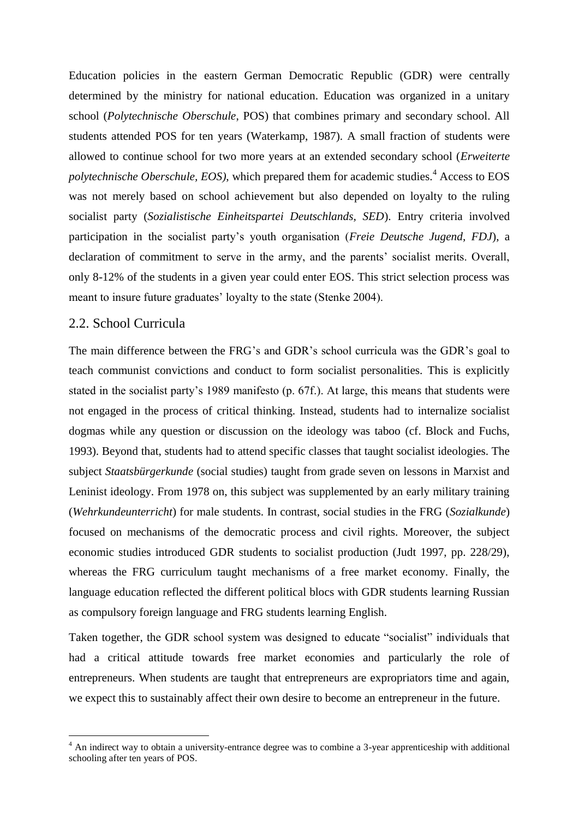Education policies in the eastern German Democratic Republic (GDR) were centrally determined by the ministry for national education. Education was organized in a unitary school (*Polytechnische Oberschule*, POS) that combines primary and secondary school. All students attended POS for ten years (Waterkamp, 1987). A small fraction of students were allowed to continue school for two more years at an extended secondary school (*Erweiterte polytechnische Oberschule, EOS)*, which prepared them for academic studies.<sup>4</sup> Access to EOS was not merely based on school achievement but also depended on loyalty to the ruling socialist party (*Sozialistische Einheitspartei Deutschlands, SED*). Entry criteria involved participation in the socialist party's youth organisation (*Freie Deutsche Jugend, FDJ*), a declaration of commitment to serve in the army, and the parents' socialist merits. Overall, only 8-12% of the students in a given year could enter EOS. This strict selection process was meant to insure future graduates' loyalty to the state (Stenke 2004).

## 2.2. School Curricula

<u>.</u>

The main difference between the FRG's and GDR's school curricula was the GDR's goal to teach communist convictions and conduct to form socialist personalities. This is explicitly stated in the socialist party's 1989 manifesto (p. 67f.). At large, this means that students were not engaged in the process of critical thinking. Instead, students had to internalize socialist dogmas while any question or discussion on the ideology was taboo (cf. Block and Fuchs, 1993). Beyond that, students had to attend specific classes that taught socialist ideologies. The subject *Staatsbürgerkunde* (social studies) taught from grade seven on lessons in Marxist and Leninist ideology. From 1978 on, this subject was supplemented by an early military training (*Wehrkundeunterricht*) for male students. In contrast, social studies in the FRG (*Sozialkunde*) focused on mechanisms of the democratic process and civil rights. Moreover, the subject economic studies introduced GDR students to socialist production (Judt 1997, pp. 228/29), whereas the FRG curriculum taught mechanisms of a free market economy. Finally, the language education reflected the different political blocs with GDR students learning Russian as compulsory foreign language and FRG students learning English.

Taken together, the GDR school system was designed to educate "socialist" individuals that had a critical attitude towards free market economies and particularly the role of entrepreneurs. When students are taught that entrepreneurs are expropriators time and again, we expect this to sustainably affect their own desire to become an entrepreneur in the future.

<sup>&</sup>lt;sup>4</sup> An indirect way to obtain a university-entrance degree was to combine a 3-year apprenticeship with additional schooling after ten years of POS.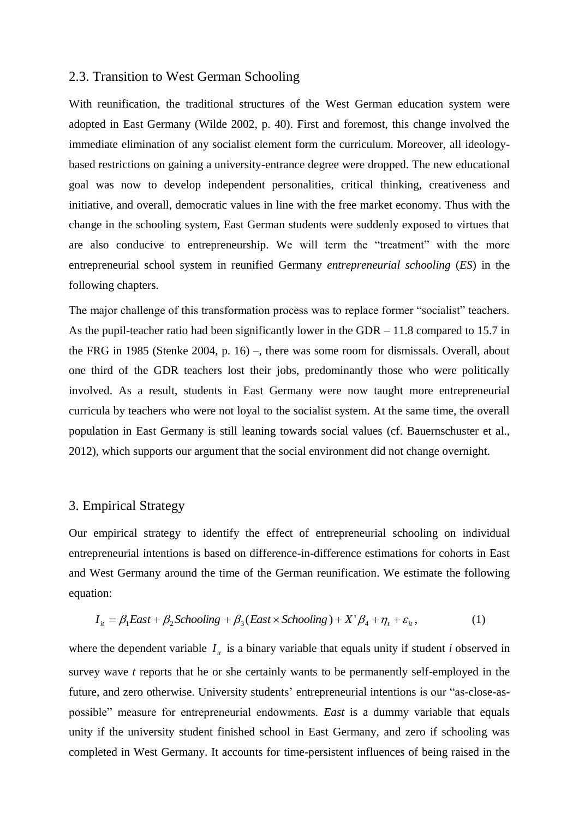## 2.3. Transition to West German Schooling

With reunification, the traditional structures of the West German education system were adopted in East Germany (Wilde 2002, p. 40). First and foremost, this change involved the immediate elimination of any socialist element form the curriculum. Moreover, all ideologybased restrictions on gaining a university-entrance degree were dropped. The new educational goal was now to develop independent personalities, critical thinking, creativeness and initiative, and overall, democratic values in line with the free market economy. Thus with the change in the schooling system, East German students were suddenly exposed to virtues that are also conducive to entrepreneurship. We will term the "treatment" with the more entrepreneurial school system in reunified Germany *entrepreneurial schooling* (*ES*) in the following chapters.

The major challenge of this transformation process was to replace former "socialist" teachers. As the pupil-teacher ratio had been significantly lower in the GDR – 11.8 compared to 15.7 in the FRG in 1985 (Stenke 2004, p. 16) –, there was some room for dismissals. Overall, about one third of the GDR teachers lost their jobs, predominantly those who were politically involved. As a result, students in East Germany were now taught more entrepreneurial curricula by teachers who were not loyal to the socialist system. At the same time, the overall population in East Germany is still leaning towards social values (cf. Bauernschuster et al., 2012), which supports our argument that the social environment did not change overnight.

## 3. Empirical Strategy

Our empirical strategy to identify the effect of entrepreneurial schooling on individual entrepreneurial intentions is based on difference-in-difference estimations for cohorts in East and West Germany around the time of the German reunification. We estimate the following equation:

$$
I_{it} = \beta_1 East + \beta_2 Schooling + \beta_3 (East \times Schooling) + X'\beta_4 + \eta_t + \varepsilon_{it},
$$
 (1)

where the dependent variable  $I_{it}$  is a binary variable that equals unity if student *i* observed in survey wave *t* reports that he or she certainly wants to be permanently self-employed in the future, and zero otherwise. University students' entrepreneurial intentions is our "as-close-aspossible" measure for entrepreneurial endowments. *East* is a dummy variable that equals unity if the university student finished school in East Germany, and zero if schooling was completed in West Germany. It accounts for time-persistent influences of being raised in the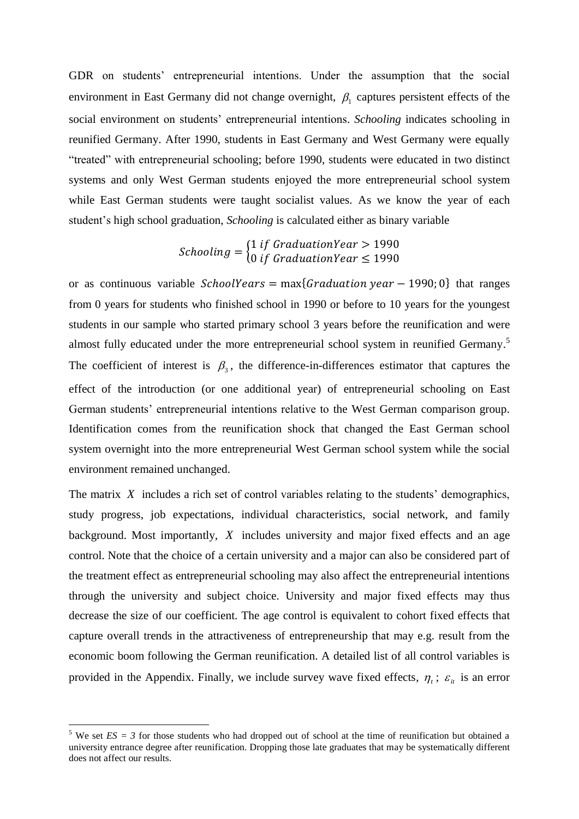GDR on students' entrepreneurial intentions. Under the assumption that the social environment in East Germany did not change overnight,  $\beta_1$  captures persistent effects of the social environment on students' entrepreneurial intentions. *Schooling* indicates schooling in reunified Germany. After 1990, students in East Germany and West Germany were equally "treated" with entrepreneurial schooling; before 1990, students were educated in two distinct systems and only West German students enjoyed the more entrepreneurial school system while East German students were taught socialist values. As we know the year of each student's high school graduation, *Schooling* is calculated either as binary variable

$$
Sthooling = \begin{cases} 1 \text{ if } GradientYear > 1990 \\ 0 \text{ if } GradientYear \le 1990 \end{cases}
$$

or as continuous variable  ${SchoolYears = max{Gradient} year - 1990; 0}$  that ranges from 0 years for students who finished school in 1990 or before to 10 years for the youngest students in our sample who started primary school 3 years before the reunification and were almost fully educated under the more entrepreneurial school system in reunified Germany.<sup>5</sup> The coefficient of interest is  $\beta_3$ , the difference-in-differences estimator that captures the effect of the introduction (or one additional year) of entrepreneurial schooling on East German students' entrepreneurial intentions relative to the West German comparison group. Identification comes from the reunification shock that changed the East German school system overnight into the more entrepreneurial West German school system while the social environment remained unchanged.

The matrix X includes a rich set of control variables relating to the students' demographics, study progress, job expectations, individual characteristics, social network, and family background. Most importantly, *X* includes university and major fixed effects and an age control. Note that the choice of a certain university and a major can also be considered part of the treatment effect as entrepreneurial schooling may also affect the entrepreneurial intentions through the university and subject choice. University and major fixed effects may thus decrease the size of our coefficient. The age control is equivalent to cohort fixed effects that capture overall trends in the attractiveness of entrepreneurship that may e.g. result from the economic boom following the German reunification. A detailed list of all control variables is provided in the Appendix. Finally, we include survey wave fixed effects,  $\eta_i$ ;  $\varepsilon_{ii}$  is an error

<u>.</u>

<sup>&</sup>lt;sup>5</sup> We set  $ES = 3$  for those students who had dropped out of school at the time of reunification but obtained a university entrance degree after reunification. Dropping those late graduates that may be systematically different does not affect our results.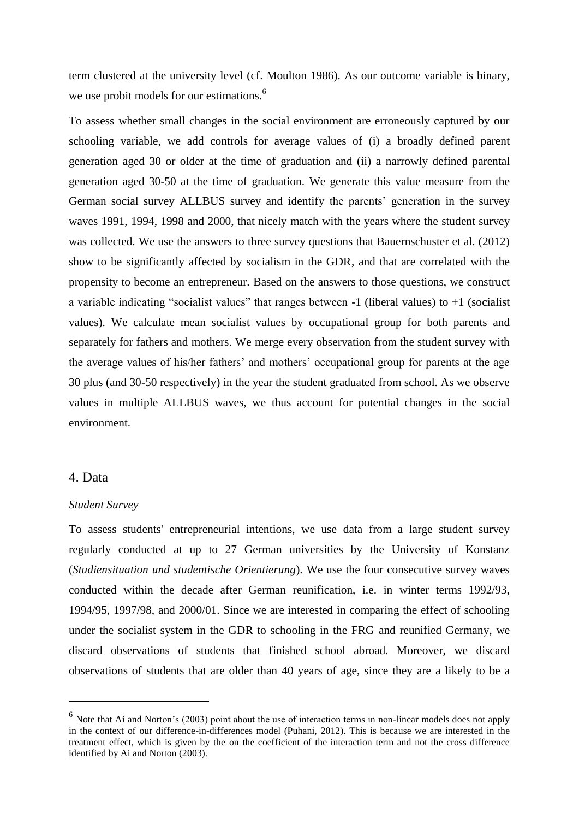term clustered at the university level (cf. Moulton 1986). As our outcome variable is binary, we use probit models for our estimations.<sup>6</sup>

To assess whether small changes in the social environment are erroneously captured by our schooling variable, we add controls for average values of (i) a broadly defined parent generation aged 30 or older at the time of graduation and (ii) a narrowly defined parental generation aged 30-50 at the time of graduation. We generate this value measure from the German social survey ALLBUS survey and identify the parents' generation in the survey waves 1991, 1994, 1998 and 2000, that nicely match with the years where the student survey was collected. We use the answers to three survey questions that Bauernschuster et al. (2012) show to be significantly affected by socialism in the GDR, and that are correlated with the propensity to become an entrepreneur. Based on the answers to those questions, we construct a variable indicating "socialist values" that ranges between  $-1$  (liberal values) to  $+1$  (socialist values). We calculate mean socialist values by occupational group for both parents and separately for fathers and mothers. We merge every observation from the student survey with the average values of his/her fathers' and mothers' occupational group for parents at the age 30 plus (and 30-50 respectively) in the year the student graduated from school. As we observe values in multiple ALLBUS waves, we thus account for potential changes in the social environment.

### 4. Data

1

### *Student Survey*

To assess students' entrepreneurial intentions, we use data from a large student survey regularly conducted at up to 27 German universities by the University of Konstanz (*Studiensituation und studentische Orientierung*). We use the four consecutive survey waves conducted within the decade after German reunification, i.e. in winter terms 1992/93, 1994/95, 1997/98, and 2000/01. Since we are interested in comparing the effect of schooling under the socialist system in the GDR to schooling in the FRG and reunified Germany, we discard observations of students that finished school abroad. Moreover, we discard observations of students that are older than 40 years of age, since they are a likely to be a

<sup>&</sup>lt;sup>6</sup> Note that Ai and Norton's (2003) point about the use of interaction terms in non-linear models does not apply in the context of our difference-in-differences model (Puhani, 2012). This is because we are interested in the treatment effect, which is given by the on the coefficient of the interaction term and not the cross difference identified by Ai and Norton (2003).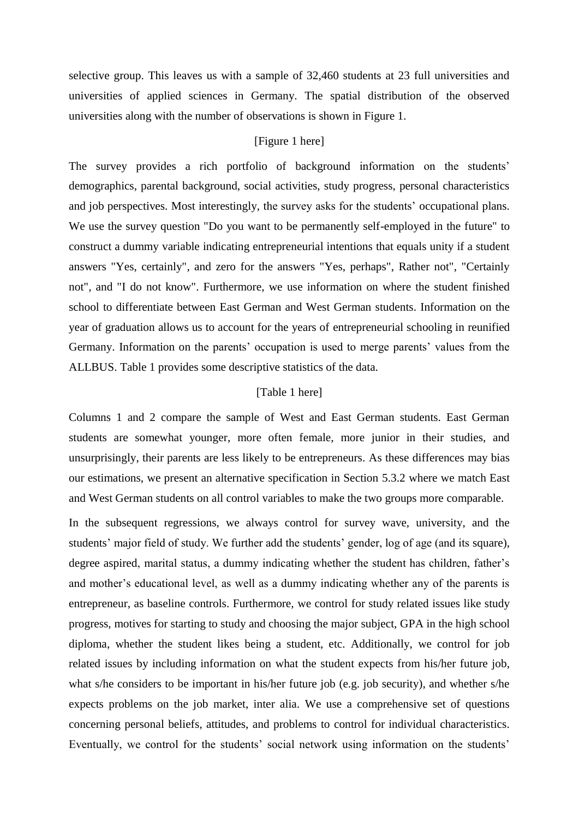selective group. This leaves us with a sample of 32,460 students at 23 full universities and universities of applied sciences in Germany. The spatial distribution of the observed universities along with the number of observations is shown in Figure 1.

### [Figure 1 here]

The survey provides a rich portfolio of background information on the students' demographics, parental background, social activities, study progress, personal characteristics and job perspectives. Most interestingly, the survey asks for the students' occupational plans. We use the survey question "Do you want to be permanently self-employed in the future" to construct a dummy variable indicating entrepreneurial intentions that equals unity if a student answers "Yes, certainly", and zero for the answers "Yes, perhaps", Rather not", "Certainly not", and "I do not know". Furthermore, we use information on where the student finished school to differentiate between East German and West German students. Information on the year of graduation allows us to account for the years of entrepreneurial schooling in reunified Germany. Information on the parents' occupation is used to merge parents' values from the ALLBUS. Table 1 provides some descriptive statistics of the data.

### [Table 1 here]

Columns 1 and 2 compare the sample of West and East German students. East German students are somewhat younger, more often female, more junior in their studies, and unsurprisingly, their parents are less likely to be entrepreneurs. As these differences may bias our estimations, we present an alternative specification in Section 5.3.2 where we match East and West German students on all control variables to make the two groups more comparable.

In the subsequent regressions, we always control for survey wave, university, and the students' major field of study. We further add the students' gender, log of age (and its square), degree aspired, marital status, a dummy indicating whether the student has children, father's and mother's educational level, as well as a dummy indicating whether any of the parents is entrepreneur, as baseline controls. Furthermore, we control for study related issues like study progress, motives for starting to study and choosing the major subject, GPA in the high school diploma, whether the student likes being a student, etc. Additionally, we control for job related issues by including information on what the student expects from his/her future job, what s/he considers to be important in his/her future job (e.g. job security), and whether s/he expects problems on the job market, inter alia. We use a comprehensive set of questions concerning personal beliefs, attitudes, and problems to control for individual characteristics. Eventually, we control for the students' social network using information on the students'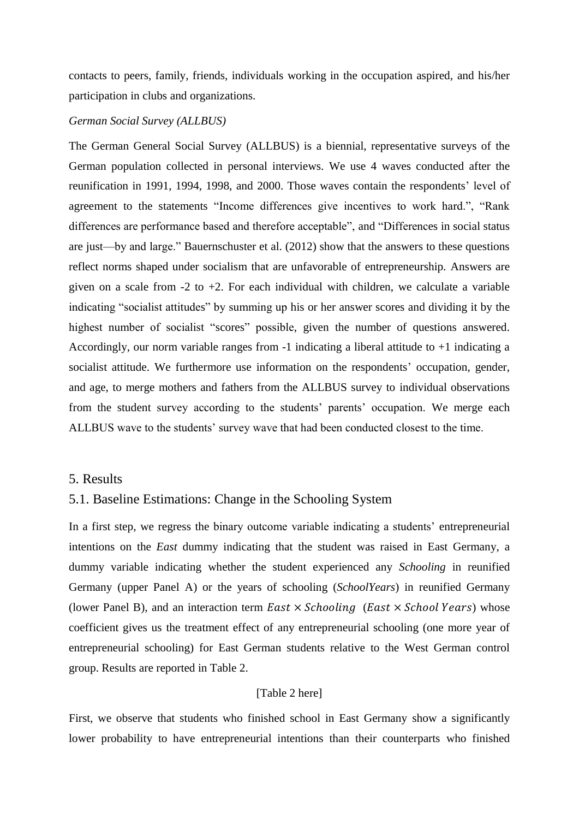contacts to peers, family, friends, individuals working in the occupation aspired, and his/her participation in clubs and organizations.

### *German Social Survey (ALLBUS)*

The German General Social Survey (ALLBUS) is a biennial, representative surveys of the German population collected in personal interviews. We use 4 waves conducted after the reunification in 1991, 1994, 1998, and 2000. Those waves contain the respondents' level of agreement to the statements "Income differences give incentives to work hard.", "Rank differences are performance based and therefore acceptable", and "Differences in social status are just—by and large." Bauernschuster et al. (2012) show that the answers to these questions reflect norms shaped under socialism that are unfavorable of entrepreneurship. Answers are given on a scale from  $-2$  to  $+2$ . For each individual with children, we calculate a variable indicating "socialist attitudes" by summing up his or her answer scores and dividing it by the highest number of socialist "scores" possible, given the number of questions answered. Accordingly, our norm variable ranges from -1 indicating a liberal attitude to +1 indicating a socialist attitude. We furthermore use information on the respondents' occupation, gender, and age, to merge mothers and fathers from the ALLBUS survey to individual observations from the student survey according to the students' parents' occupation. We merge each ALLBUS wave to the students' survey wave that had been conducted closest to the time.

### 5. Results

# 5.1. Baseline Estimations: Change in the Schooling System

In a first step, we regress the binary outcome variable indicating a students' entrepreneurial intentions on the *East* dummy indicating that the student was raised in East Germany, a dummy variable indicating whether the student experienced any *Schooling* in reunified Germany (upper Panel A) or the years of schooling (*SchoolYears*) in reunified Germany (lower Panel B), and an interaction term  $East \times Schooling$  (East  $\times School Years$ ) whose coefficient gives us the treatment effect of any entrepreneurial schooling (one more year of entrepreneurial schooling) for East German students relative to the West German control group. Results are reported in Table 2.

### [Table 2 here]

First, we observe that students who finished school in East Germany show a significantly lower probability to have entrepreneurial intentions than their counterparts who finished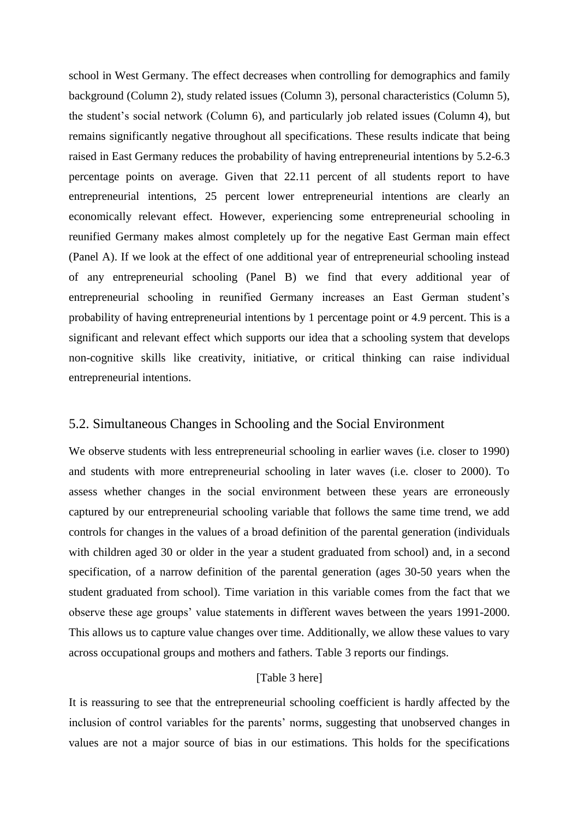school in West Germany. The effect decreases when controlling for demographics and family background (Column 2), study related issues (Column 3), personal characteristics (Column 5), the student's social network (Column 6), and particularly job related issues (Column 4), but remains significantly negative throughout all specifications. These results indicate that being raised in East Germany reduces the probability of having entrepreneurial intentions by 5.2-6.3 percentage points on average. Given that 22.11 percent of all students report to have entrepreneurial intentions, 25 percent lower entrepreneurial intentions are clearly an economically relevant effect. However, experiencing some entrepreneurial schooling in reunified Germany makes almost completely up for the negative East German main effect (Panel A). If we look at the effect of one additional year of entrepreneurial schooling instead of any entrepreneurial schooling (Panel B) we find that every additional year of entrepreneurial schooling in reunified Germany increases an East German student's probability of having entrepreneurial intentions by 1 percentage point or 4.9 percent. This is a significant and relevant effect which supports our idea that a schooling system that develops non-cognitive skills like creativity, initiative, or critical thinking can raise individual entrepreneurial intentions.

# 5.2. Simultaneous Changes in Schooling and the Social Environment

We observe students with less entrepreneurial schooling in earlier waves (i.e. closer to 1990) and students with more entrepreneurial schooling in later waves (i.e. closer to 2000). To assess whether changes in the social environment between these years are erroneously captured by our entrepreneurial schooling variable that follows the same time trend, we add controls for changes in the values of a broad definition of the parental generation (individuals with children aged 30 or older in the year a student graduated from school) and, in a second specification, of a narrow definition of the parental generation (ages 30-50 years when the student graduated from school). Time variation in this variable comes from the fact that we observe these age groups' value statements in different waves between the years 1991-2000. This allows us to capture value changes over time. Additionally, we allow these values to vary across occupational groups and mothers and fathers. Table 3 reports our findings.

# [Table 3 here]

It is reassuring to see that the entrepreneurial schooling coefficient is hardly affected by the inclusion of control variables for the parents' norms, suggesting that unobserved changes in values are not a major source of bias in our estimations. This holds for the specifications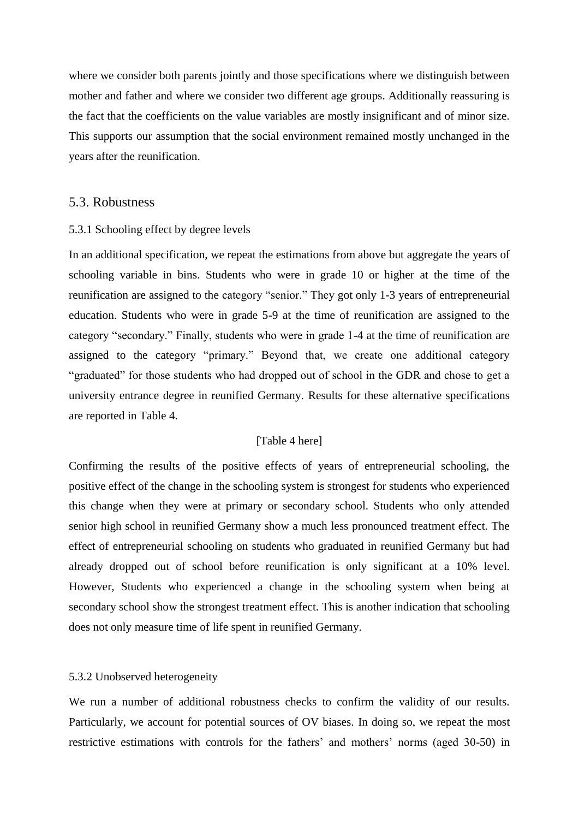where we consider both parents jointly and those specifications where we distinguish between mother and father and where we consider two different age groups. Additionally reassuring is the fact that the coefficients on the value variables are mostly insignificant and of minor size. This supports our assumption that the social environment remained mostly unchanged in the years after the reunification.

### 5.3. Robustness

### 5.3.1 Schooling effect by degree levels

In an additional specification, we repeat the estimations from above but aggregate the years of schooling variable in bins. Students who were in grade 10 or higher at the time of the reunification are assigned to the category "senior." They got only 1-3 years of entrepreneurial education. Students who were in grade 5-9 at the time of reunification are assigned to the category "secondary." Finally, students who were in grade 1-4 at the time of reunification are assigned to the category "primary." Beyond that, we create one additional category "graduated" for those students who had dropped out of school in the GDR and chose to get a university entrance degree in reunified Germany. Results for these alternative specifications are reported in Table 4.

# [Table 4 here]

Confirming the results of the positive effects of years of entrepreneurial schooling, the positive effect of the change in the schooling system is strongest for students who experienced this change when they were at primary or secondary school. Students who only attended senior high school in reunified Germany show a much less pronounced treatment effect. The effect of entrepreneurial schooling on students who graduated in reunified Germany but had already dropped out of school before reunification is only significant at a 10% level. However, Students who experienced a change in the schooling system when being at secondary school show the strongest treatment effect. This is another indication that schooling does not only measure time of life spent in reunified Germany.

#### 5.3.2 Unobserved heterogeneity

We run a number of additional robustness checks to confirm the validity of our results. Particularly, we account for potential sources of OV biases. In doing so, we repeat the most restrictive estimations with controls for the fathers' and mothers' norms (aged 30-50) in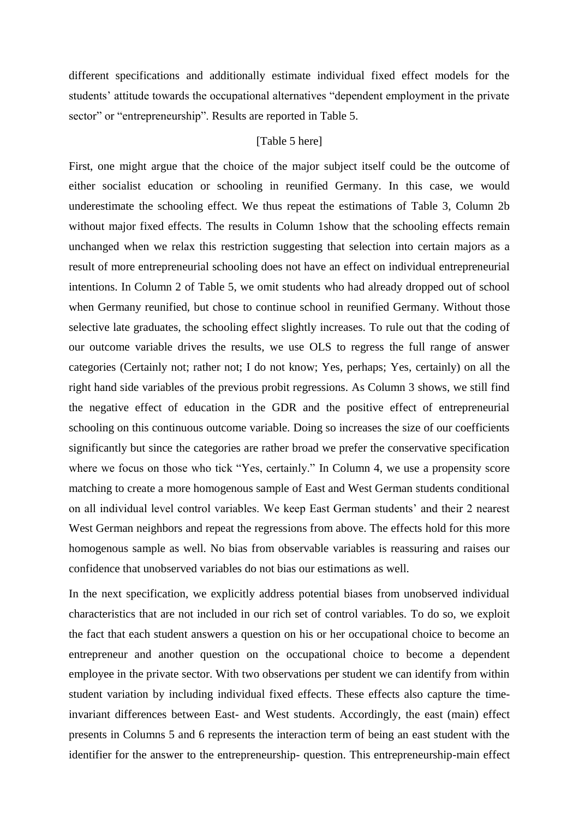different specifications and additionally estimate individual fixed effect models for the students' attitude towards the occupational alternatives "dependent employment in the private sector" or "entrepreneurship". Results are reported in Table 5.

#### [Table 5 here]

First, one might argue that the choice of the major subject itself could be the outcome of either socialist education or schooling in reunified Germany. In this case, we would underestimate the schooling effect. We thus repeat the estimations of Table 3, Column 2b without major fixed effects. The results in Column 1show that the schooling effects remain unchanged when we relax this restriction suggesting that selection into certain majors as a result of more entrepreneurial schooling does not have an effect on individual entrepreneurial intentions. In Column 2 of Table 5, we omit students who had already dropped out of school when Germany reunified, but chose to continue school in reunified Germany. Without those selective late graduates, the schooling effect slightly increases. To rule out that the coding of our outcome variable drives the results, we use OLS to regress the full range of answer categories (Certainly not; rather not; I do not know; Yes, perhaps; Yes, certainly) on all the right hand side variables of the previous probit regressions. As Column 3 shows, we still find the negative effect of education in the GDR and the positive effect of entrepreneurial schooling on this continuous outcome variable. Doing so increases the size of our coefficients significantly but since the categories are rather broad we prefer the conservative specification where we focus on those who tick "Yes, certainly." In Column 4, we use a propensity score matching to create a more homogenous sample of East and West German students conditional on all individual level control variables. We keep East German students' and their 2 nearest West German neighbors and repeat the regressions from above. The effects hold for this more homogenous sample as well. No bias from observable variables is reassuring and raises our confidence that unobserved variables do not bias our estimations as well.

In the next specification, we explicitly address potential biases from unobserved individual characteristics that are not included in our rich set of control variables. To do so, we exploit the fact that each student answers a question on his or her occupational choice to become an entrepreneur and another question on the occupational choice to become a dependent employee in the private sector. With two observations per student we can identify from within student variation by including individual fixed effects. These effects also capture the timeinvariant differences between East- and West students. Accordingly, the east (main) effect presents in Columns 5 and 6 represents the interaction term of being an east student with the identifier for the answer to the entrepreneurship- question. This entrepreneurship-main effect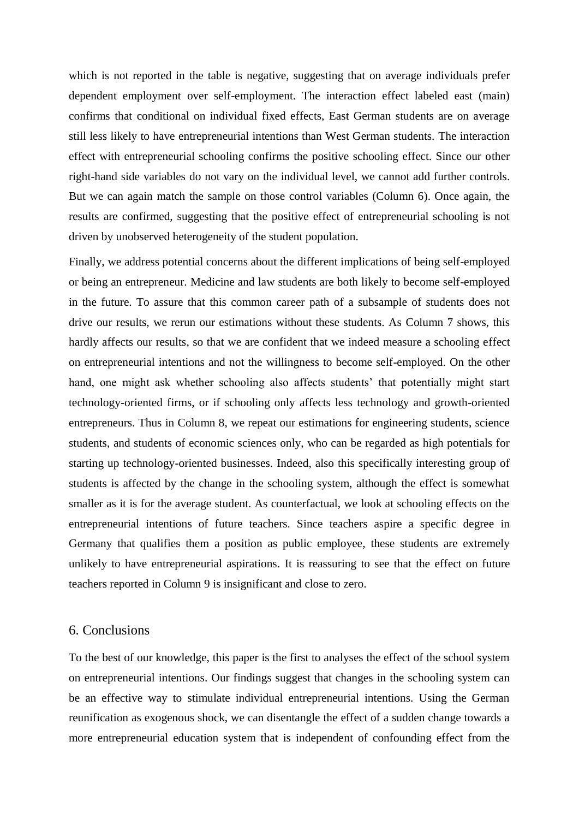which is not reported in the table is negative, suggesting that on average individuals prefer dependent employment over self-employment. The interaction effect labeled east (main) confirms that conditional on individual fixed effects, East German students are on average still less likely to have entrepreneurial intentions than West German students. The interaction effect with entrepreneurial schooling confirms the positive schooling effect. Since our other right-hand side variables do not vary on the individual level, we cannot add further controls. But we can again match the sample on those control variables (Column 6). Once again, the results are confirmed, suggesting that the positive effect of entrepreneurial schooling is not driven by unobserved heterogeneity of the student population.

Finally, we address potential concerns about the different implications of being self-employed or being an entrepreneur. Medicine and law students are both likely to become self-employed in the future. To assure that this common career path of a subsample of students does not drive our results, we rerun our estimations without these students. As Column 7 shows, this hardly affects our results, so that we are confident that we indeed measure a schooling effect on entrepreneurial intentions and not the willingness to become self-employed. On the other hand, one might ask whether schooling also affects students' that potentially might start technology-oriented firms, or if schooling only affects less technology and growth-oriented entrepreneurs. Thus in Column 8, we repeat our estimations for engineering students, science students, and students of economic sciences only, who can be regarded as high potentials for starting up technology-oriented businesses. Indeed, also this specifically interesting group of students is affected by the change in the schooling system, although the effect is somewhat smaller as it is for the average student. As counterfactual, we look at schooling effects on the entrepreneurial intentions of future teachers. Since teachers aspire a specific degree in Germany that qualifies them a position as public employee, these students are extremely unlikely to have entrepreneurial aspirations. It is reassuring to see that the effect on future teachers reported in Column 9 is insignificant and close to zero.

#### 6. Conclusions

To the best of our knowledge, this paper is the first to analyses the effect of the school system on entrepreneurial intentions. Our findings suggest that changes in the schooling system can be an effective way to stimulate individual entrepreneurial intentions. Using the German reunification as exogenous shock, we can disentangle the effect of a sudden change towards a more entrepreneurial education system that is independent of confounding effect from the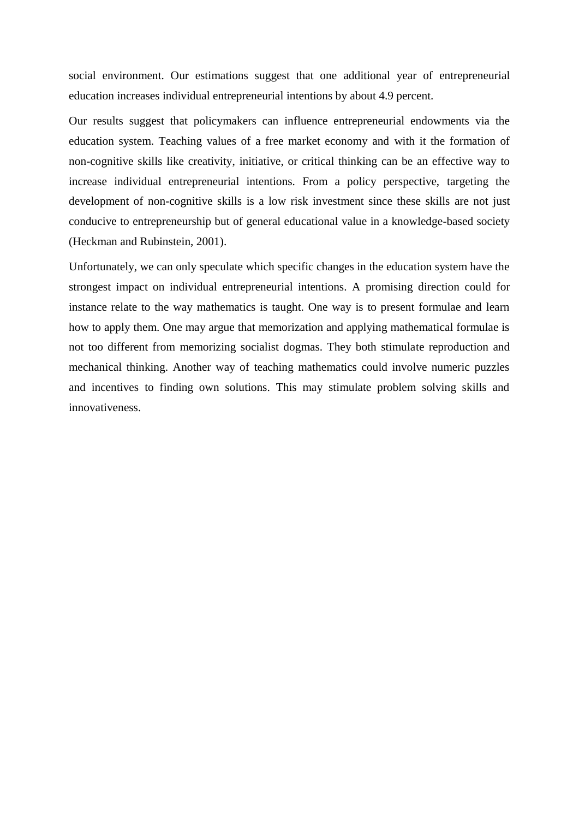social environment. Our estimations suggest that one additional year of entrepreneurial education increases individual entrepreneurial intentions by about 4.9 percent.

Our results suggest that policymakers can influence entrepreneurial endowments via the education system. Teaching values of a free market economy and with it the formation of non-cognitive skills like creativity, initiative, or critical thinking can be an effective way to increase individual entrepreneurial intentions. From a policy perspective, targeting the development of non-cognitive skills is a low risk investment since these skills are not just conducive to entrepreneurship but of general educational value in a knowledge-based society (Heckman and Rubinstein, 2001).

Unfortunately, we can only speculate which specific changes in the education system have the strongest impact on individual entrepreneurial intentions. A promising direction could for instance relate to the way mathematics is taught. One way is to present formulae and learn how to apply them. One may argue that memorization and applying mathematical formulae is not too different from memorizing socialist dogmas. They both stimulate reproduction and mechanical thinking. Another way of teaching mathematics could involve numeric puzzles and incentives to finding own solutions. This may stimulate problem solving skills and innovativeness.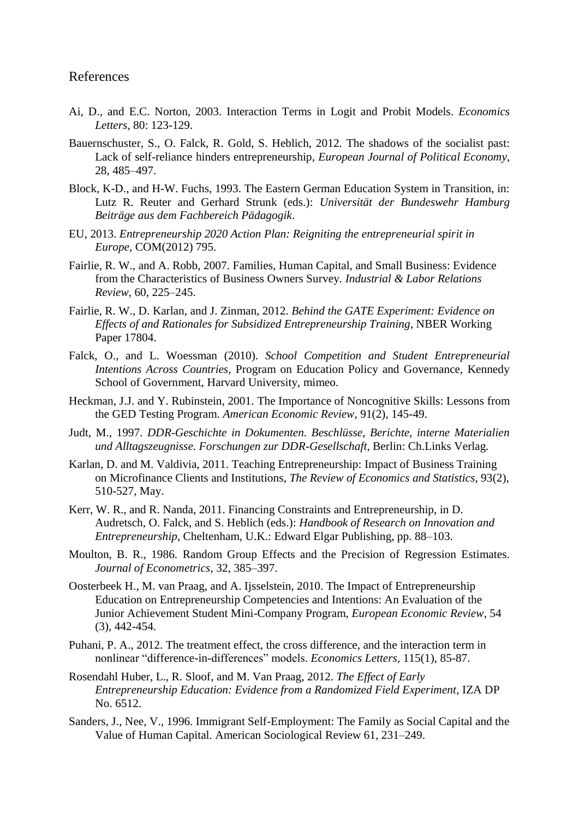### References

- Ai, D., and E.C. Norton, 2003. Interaction Terms in Logit and Probit Models. *Economics Letters*, 80: 123-129.
- Bauernschuster, S., O. Falck, R. Gold, S. Heblich, 2012. The shadows of the socialist past: Lack of self-reliance hinders entrepreneurship, *European Journal of Political Economy*, 28, 485–497.
- Block, K-D., and H-W. Fuchs, 1993. The Eastern German Education System in Transition, in: Lutz R. Reuter and Gerhard Strunk (eds.): *Universität der Bundeswehr Hamburg Beiträge aus dem Fachbereich Pädagogik*.
- EU, 2013. *Entrepreneurship 2020 Action Plan: Reigniting the entrepreneurial spirit in Europe*, COM(2012) 795.
- Fairlie, R. W., and A. Robb, 2007. Families, Human Capital, and Small Business: Evidence from the Characteristics of Business Owners Survey. *Industrial & Labor Relations Review*, 60, 225–245.
- Fairlie, R. W., D. Karlan, and J. Zinman, 2012. *Behind the GATE Experiment: Evidence on Effects of and Rationales for Subsidized Entrepreneurship Training*, NBER Working Paper 17804.
- Falck, O., and L. Woessman (2010). *School Competition and Student Entrepreneurial Intentions Across Countries*, Program on Education Policy and Governance, Kennedy School of Government, Harvard University, mimeo.
- Heckman, J.J. and Y. Rubinstein, 2001. The Importance of Noncognitive Skills: Lessons from the GED Testing Program. *American Economic Review*, 91(2), 145-49.
- Judt, M., 1997. *DDR-Geschichte in Dokumenten. Beschlüsse, Berichte, interne Materialien und Alltagszeugnisse. Forschungen zur DDR-Gesellschaft*, Berlin: Ch.Links Verlag.
- Karlan, D. and M. Valdivia, 2011. Teaching Entrepreneurship: Impact of Business Training on Microfinance Clients and Institutions, *The Review of Economics and Statistics*, 93(2), 510-527, May.
- Kerr, W. R., and R. Nanda, 2011. Financing Constraints and Entrepreneurship, in D. Audretsch, O. Falck, and S. Heblich (eds.): *Handbook of Research on Innovation and Entrepreneurship*, Cheltenham, U.K.: Edward Elgar Publishing, pp. 88–103.
- Moulton, B. R., 1986. Random Group Effects and the Precision of Regression Estimates. *Journal of Econometrics*, 32, 385–397.
- Oosterbeek H., M. van Praag, and A. Ijsselstein, 2010. The Impact of Entrepreneurship Education on Entrepreneurship Competencies and Intentions: An Evaluation of the Junior Achievement Student Mini-Company Program, *European Economic Review*, 54 (3), 442-454.
- Puhani, P. A., 2012. The treatment effect, the cross difference, and the interaction term in nonlinear "difference-in-differences" models. *Economics Letters*, 115(1), 85-87.
- Rosendahl Huber, L., R. Sloof, and M. Van Praag, 2012. *The Effect of Early Entrepreneurship Education: Evidence from a Randomized Field Experiment*, IZA DP No. 6512.
- Sanders, J., Nee, V., 1996. Immigrant Self-Employment: The Family as Social Capital and the Value of Human Capital. American Sociological Review 61, 231–249.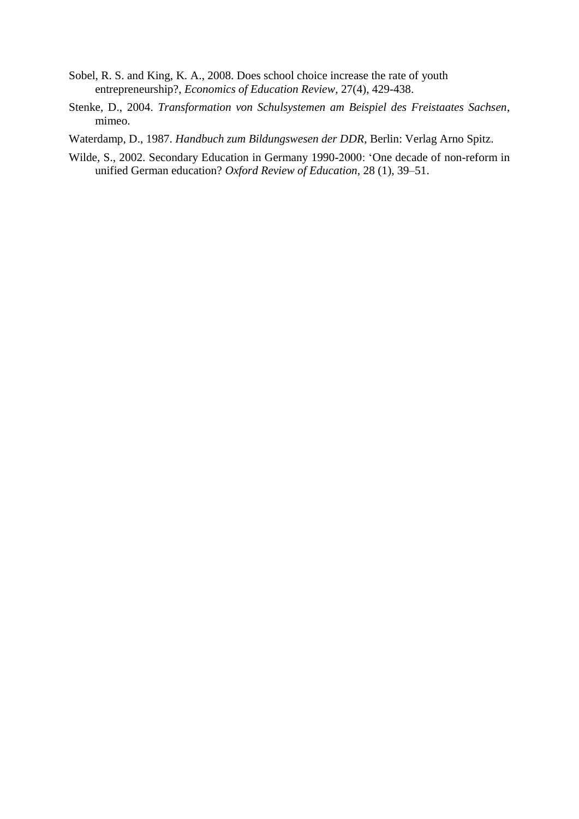- Sobel, R. S. and King, K. A., 2008. Does school choice increase the rate of youth entrepreneurship?, *Economics of Education Review*, 27(4), 429-438.
- Stenke, D., 2004. *Transformation von Schulsystemen am Beispiel des Freistaates Sachsen*, mimeo.
- Waterdamp, D., 1987. *Handbuch zum Bildungswesen der DDR*, Berlin: Verlag Arno Spitz.
- Wilde, S., 2002. Secondary Education in Germany 1990-2000: 'One decade of non-reform in unified German education? *Oxford Review of Education*, 28 (1), 39–51.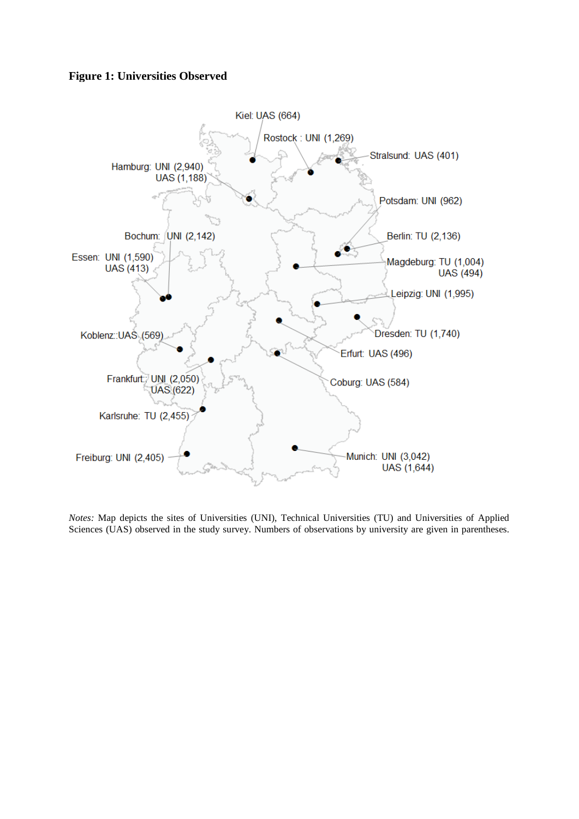# **Figure 1: Universities Observed**



*Notes:* Map depicts the sites of Universities (UNI), Technical Universities (TU) and Universities of Applied Sciences (UAS) observed in the study survey. Numbers of observations by university are given in parentheses.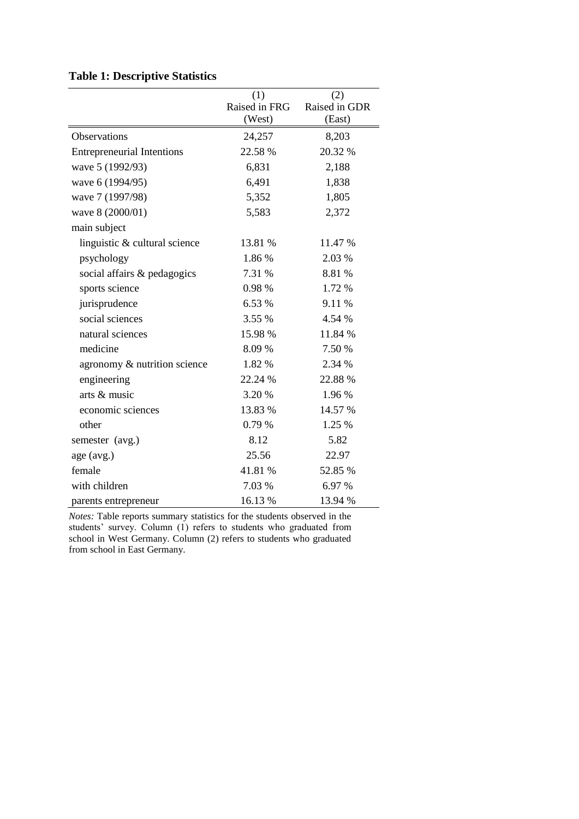# **Table 1: Descriptive Statistics**

|                                   | (1)<br>Raised in FRG<br>(West) | (2)<br>Raised in GDR<br>(East) |
|-----------------------------------|--------------------------------|--------------------------------|
| <b>Observations</b>               | 24,257                         | 8,203                          |
| <b>Entrepreneurial Intentions</b> | 22.58 %                        | 20.32 %                        |
| wave 5 (1992/93)                  | 6,831                          | 2,188                          |
| wave 6 (1994/95)                  | 6,491                          | 1,838                          |
| wave 7 (1997/98)                  | 5,352                          | 1,805                          |
| wave 8 (2000/01)                  | 5,583                          | 2,372                          |
| main subject                      |                                |                                |
| linguistic & cultural science     | 13.81 %                        | 11.47 %                        |
| psychology                        | 1.86%                          | 2.03 %                         |
| social affairs & pedagogics       | 7.31 %                         | 8.81 %                         |
| sports science                    | 0.98%                          | 1.72 %                         |
| jurisprudence                     | 6.53 %                         | 9.11 %                         |
| social sciences                   | 3.55 %                         | 4.54 %                         |
| natural sciences                  | 15.98 %                        | 11.84 %                        |
| medicine                          | 8.09%                          | 7.50 %                         |
| agronomy & nutrition science      | 1.82 %                         | 2.34 %                         |
| engineering                       | 22.24 %                        | 22.88 %                        |
| arts & music                      | 3.20 %                         | 1.96 %                         |
| economic sciences                 | 13.83 %                        | 14.57 %                        |
| other                             | 0.79%                          | 1.25 %                         |
| semester (avg.)                   | 8.12                           | 5.82                           |
| age (avg.)                        | 25.56                          | 22.97                          |
| female                            | 41.81 %                        | 52.85 %                        |
| with children                     | 7.03 %                         | 6.97 %                         |
| parents entrepreneur              | 16.13 %                        | 13.94 %                        |

*Notes:* Table reports summary statistics for the students observed in the students' survey. Column (1) refers to students who graduated from school in West Germany. Column (2) refers to students who graduated from school in East Germany.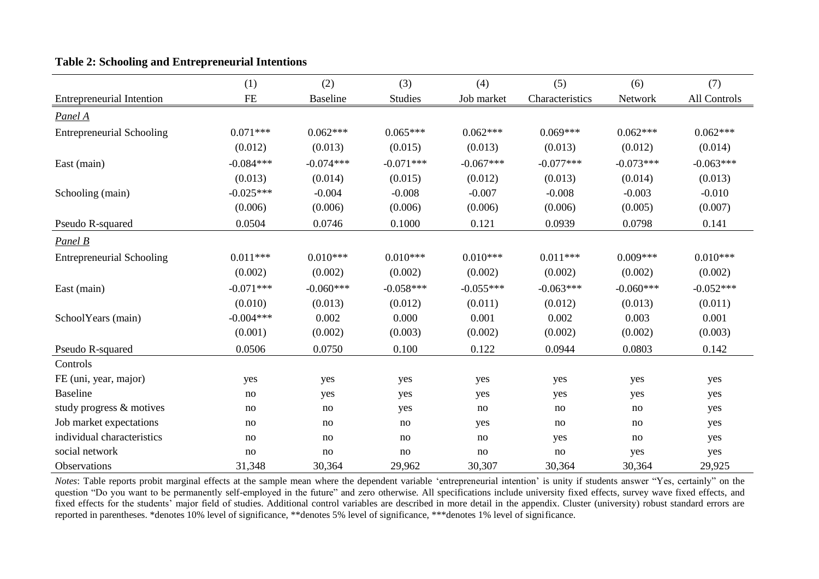|                                  | (1)         | (2)             | (3)            | (4)         | (5)             | (6)         | (7)          |
|----------------------------------|-------------|-----------------|----------------|-------------|-----------------|-------------|--------------|
| <b>Entrepreneurial Intention</b> | FE          | <b>Baseline</b> | <b>Studies</b> | Job market  | Characteristics | Network     | All Controls |
| Panel A                          |             |                 |                |             |                 |             |              |
| <b>Entrepreneurial Schooling</b> | $0.071***$  | $0.062***$      | $0.065***$     | $0.062***$  | $0.069***$      | $0.062***$  | $0.062***$   |
|                                  | (0.012)     | (0.013)         | (0.015)        | (0.013)     | (0.013)         | (0.012)     | (0.014)      |
| East (main)                      | $-0.084***$ | $-0.074***$     | $-0.071***$    | $-0.067***$ | $-0.077***$     | $-0.073***$ | $-0.063***$  |
|                                  | (0.013)     | (0.014)         | (0.015)        | (0.012)     | (0.013)         | (0.014)     | (0.013)      |
| Schooling (main)                 | $-0.025***$ | $-0.004$        | $-0.008$       | $-0.007$    | $-0.008$        | $-0.003$    | $-0.010$     |
|                                  | (0.006)     | (0.006)         | (0.006)        | (0.006)     | (0.006)         | (0.005)     | (0.007)      |
| Pseudo R-squared                 | 0.0504      | 0.0746          | 0.1000         | 0.121       | 0.0939          | 0.0798      | 0.141        |
| Panel B                          |             |                 |                |             |                 |             |              |
| <b>Entrepreneurial Schooling</b> | $0.011***$  | $0.010***$      | $0.010***$     | $0.010***$  | $0.011***$      | $0.009***$  | $0.010***$   |
|                                  | (0.002)     | (0.002)         | (0.002)        | (0.002)     | (0.002)         | (0.002)     | (0.002)      |
| East (main)                      | $-0.071***$ | $-0.060***$     | $-0.058***$    | $-0.055***$ | $-0.063***$     | $-0.060***$ | $-0.052***$  |
|                                  | (0.010)     | (0.013)         | (0.012)        | (0.011)     | (0.012)         | (0.013)     | (0.011)      |
| SchoolYears (main)               | $-0.004***$ | 0.002           | 0.000          | 0.001       | 0.002           | 0.003       | 0.001        |
|                                  | (0.001)     | (0.002)         | (0.003)        | (0.002)     | (0.002)         | (0.002)     | (0.003)      |
| Pseudo R-squared                 | 0.0506      | 0.0750          | 0.100          | 0.122       | 0.0944          | 0.0803      | 0.142        |
| Controls                         |             |                 |                |             |                 |             |              |
| FE (uni, year, major)            | yes         | yes             | yes            | yes         | yes             | yes         | yes          |
| <b>Baseline</b>                  | no          | yes             | yes            | yes         | yes             | yes         | yes          |
| study progress & motives         | no          | no              | yes            | no          | no              | no          | yes          |
| Job market expectations          | no          | no              | no             | yes         | no              | no          | yes          |
| individual characteristics       | no          | no              | no             | no          | yes             | no          | yes          |
| social network                   | no          | no              | no             | no          | no              | yes         | yes          |
| Observations                     | 31,348      | 30,364          | 29,962         | 30,307      | 30,364          | 30,364      | 29,925       |

# **Table 2: Schooling and Entrepreneurial Intentions**

*Notes*: Table reports probit marginal effects at the sample mean where the dependent variable 'entrepreneurial intention' is unity if students answer "Yes, certainly" on the question "Do you want to be permanently self-employed in the future" and zero otherwise. All specifications include university fixed effects, survey wave fixed effects, and fixed effects for the students' major field of studies. Additional control variables are described in more detail in the appendix. Cluster (university) robust standard errors are reported in parentheses. \*denotes 10% level of significance, \*\*denotes 5% level of significance, \*\*\*denotes 1% level of significance.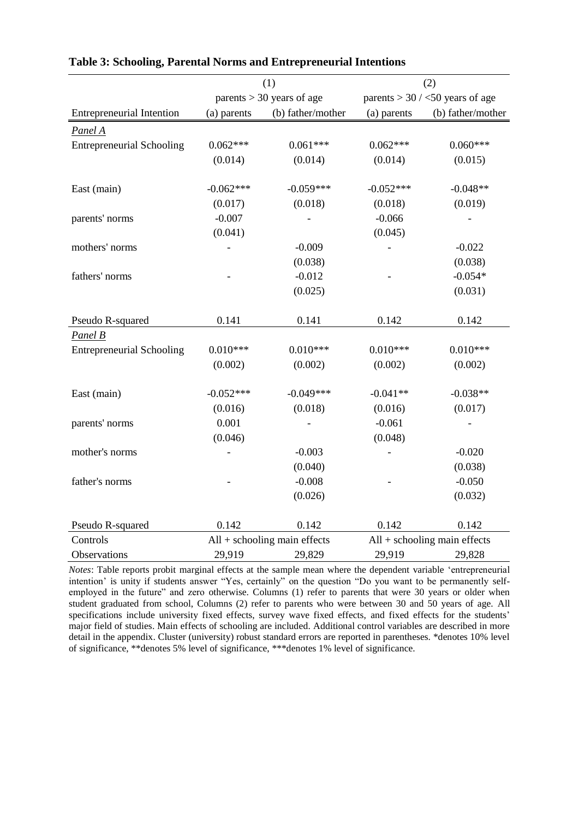|                                  |             | (1)                          | (2)         |                                      |  |
|----------------------------------|-------------|------------------------------|-------------|--------------------------------------|--|
|                                  |             | parents $> 30$ years of age  |             | parents $>$ 30 / $<$ 50 years of age |  |
| <b>Entrepreneurial Intention</b> | (a) parents | (b) father/mother            | (a) parents | (b) father/mother                    |  |
| Panel A                          |             |                              |             |                                      |  |
| <b>Entrepreneurial Schooling</b> | $0.062***$  | $0.061***$                   | $0.062***$  | $0.060***$                           |  |
|                                  | (0.014)     | (0.014)                      | (0.014)     | (0.015)                              |  |
|                                  |             |                              |             |                                      |  |
| East (main)                      | $-0.062***$ | $-0.059***$                  | $-0.052***$ | $-0.048**$                           |  |
|                                  | (0.017)     | (0.018)                      | (0.018)     | (0.019)                              |  |
| parents' norms                   | $-0.007$    |                              | $-0.066$    |                                      |  |
|                                  | (0.041)     |                              | (0.045)     |                                      |  |
| mothers' norms                   |             | $-0.009$                     |             | $-0.022$                             |  |
|                                  |             | (0.038)                      |             | (0.038)                              |  |
| fathers' norms                   |             | $-0.012$                     |             | $-0.054*$                            |  |
|                                  |             | (0.025)                      |             | (0.031)                              |  |
|                                  |             |                              |             |                                      |  |
| Pseudo R-squared                 | 0.141       | 0.141                        | 0.142       | 0.142                                |  |
| Panel B                          |             |                              |             |                                      |  |
| <b>Entrepreneurial Schooling</b> | $0.010***$  | $0.010***$                   | $0.010***$  | $0.010***$                           |  |
|                                  | (0.002)     | (0.002)                      | (0.002)     | (0.002)                              |  |
|                                  |             |                              |             |                                      |  |
| East (main)                      | $-0.052***$ | $-0.049***$                  | $-0.041**$  | $-0.038**$                           |  |
|                                  | (0.016)     | (0.018)                      | (0.016)     | (0.017)                              |  |
| parents' norms                   | 0.001       |                              | $-0.061$    |                                      |  |
|                                  | (0.046)     |                              | (0.048)     |                                      |  |
| mother's norms                   |             | $-0.003$                     |             | $-0.020$                             |  |
|                                  |             | (0.040)                      |             | (0.038)                              |  |
| father's norms                   |             | $-0.008$                     |             | $-0.050$                             |  |
|                                  |             | (0.026)                      |             | (0.032)                              |  |
| Pseudo R-squared                 | 0.142       | 0.142                        | 0.142       | 0.142                                |  |
| Controls                         |             |                              |             |                                      |  |
|                                  |             | All + schooling main effects |             | $All +$ schooling main effects       |  |
| Observations                     | 29,919      | 29,829                       | 29,919      | 29,828                               |  |

## **Table 3: Schooling, Parental Norms and Entrepreneurial Intentions**

*Notes*: Table reports probit marginal effects at the sample mean where the dependent variable 'entrepreneurial intention' is unity if students answer "Yes, certainly" on the question "Do you want to be permanently selfemployed in the future" and zero otherwise. Columns (1) refer to parents that were 30 years or older when student graduated from school, Columns (2) refer to parents who were between 30 and 50 years of age. All specifications include university fixed effects, survey wave fixed effects, and fixed effects for the students' major field of studies. Main effects of schooling are included. Additional control variables are described in more detail in the appendix. Cluster (university) robust standard errors are reported in parentheses. \*denotes 10% level of significance, \*\*denotes 5% level of significance, \*\*\*denotes 1% level of significance.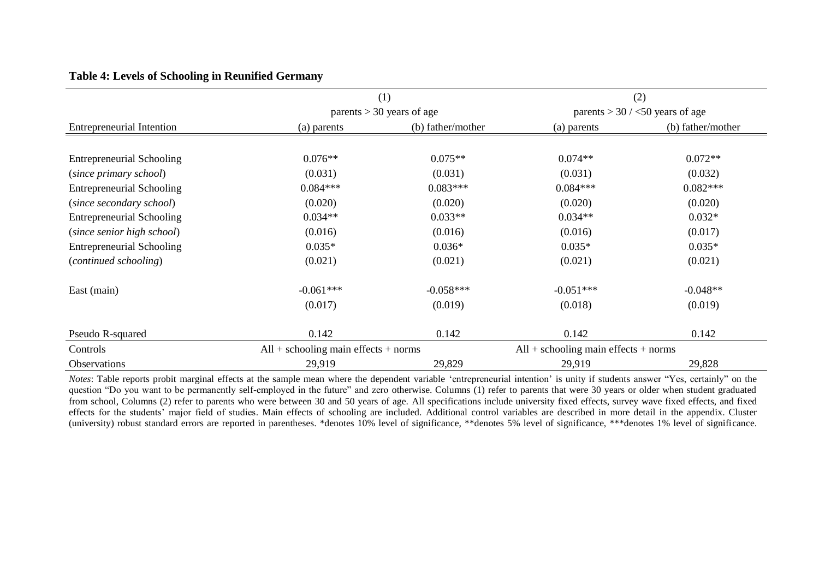# **Table 4: Levels of Schooling in Reunified Germany**

|                                  |                                        | (1)                         |                                        | (2)                                  |
|----------------------------------|----------------------------------------|-----------------------------|----------------------------------------|--------------------------------------|
|                                  |                                        | parents $>$ 30 years of age |                                        | parents $>$ 30 / $<$ 50 years of age |
| <b>Entrepreneurial Intention</b> | (a) parents                            | (b) father/mother           | (a) parents                            | (b) father/mother                    |
|                                  |                                        |                             |                                        |                                      |
| <b>Entrepreneurial Schooling</b> | $0.076**$                              | $0.075**$                   | $0.074**$                              | $0.072**$                            |
| (since primary school)           | (0.031)                                | (0.031)                     | (0.031)                                | (0.032)                              |
| <b>Entrepreneurial Schooling</b> | $0.084***$                             | $0.083***$                  | $0.084***$                             | $0.082***$                           |
| (since secondary school)         | (0.020)                                | (0.020)                     | (0.020)                                | (0.020)                              |
| <b>Entrepreneurial Schooling</b> | $0.034**$                              | $0.033**$                   | $0.034**$                              | $0.032*$                             |
| (since senior high school)       | (0.016)                                | (0.016)                     | (0.016)                                | (0.017)                              |
| <b>Entrepreneurial Schooling</b> | $0.035*$                               | $0.036*$                    | $0.035*$                               | $0.035*$                             |
| (continued schooling)            | (0.021)                                | (0.021)                     | (0.021)                                | (0.021)                              |
| East (main)                      | $-0.061***$                            | $-0.058***$                 | $-0.051***$                            | $-0.048**$                           |
|                                  | (0.017)                                | (0.019)                     | (0.018)                                | (0.019)                              |
| Pseudo R-squared                 | 0.142                                  | 0.142                       | 0.142                                  | 0.142                                |
| Controls                         | $All +$ schooling main effects + norms |                             | $All +$ schooling main effects + norms |                                      |
| <b>Observations</b>              | 29,919                                 | 29,829                      | 29,919                                 | 29,828                               |

*Notes*: Table reports probit marginal effects at the sample mean where the dependent variable 'entrepreneurial intention' is unity if students answer "Yes, certainly" on the question "Do you want to be permanently self-employed in the future" and zero otherwise. Columns (1) refer to parents that were 30 years or older when student graduated from school, Columns (2) refer to parents who were between 30 and 50 years of age. All specifications include university fixed effects, survey wave fixed effects, and fixed effects for the students' major field of studies. Main effects of schooling are included. Additional control variables are described in more detail in the appendix. Cluster (university) robust standard errors are reported in parentheses. \*denotes 10% level of significance, \*\*denotes 5% level of significance, \*\*\*denotes 1% level of significance.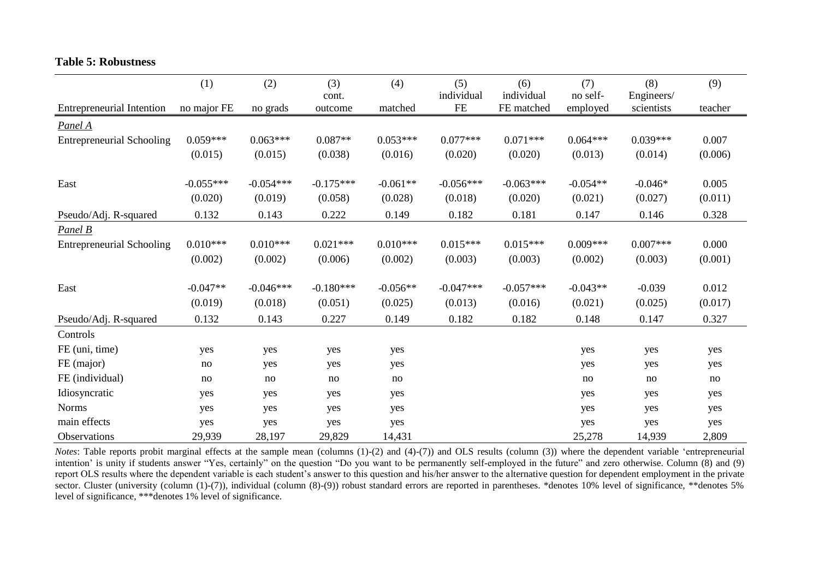|                                  | (1)         | (2)         | (3)         | (4)        | (5)         | (6)         | (7)        | (8)        | (9)     |
|----------------------------------|-------------|-------------|-------------|------------|-------------|-------------|------------|------------|---------|
|                                  |             |             | cont.       |            | individual  | individual  | no self-   | Engineers/ |         |
| <b>Entrepreneurial Intention</b> | no major FE | no grads    | outcome     | matched    | $\rm FE$    | FE matched  | employed   | scientists | teacher |
| Panel A                          |             |             |             |            |             |             |            |            |         |
| <b>Entrepreneurial Schooling</b> | $0.059***$  | $0.063***$  | $0.087**$   | $0.053***$ | $0.077***$  | $0.071***$  | $0.064***$ | $0.039***$ | 0.007   |
|                                  | (0.015)     | (0.015)     | (0.038)     | (0.016)    | (0.020)     | (0.020)     | (0.013)    | (0.014)    | (0.006) |
|                                  |             |             |             |            |             |             |            |            |         |
| East                             | $-0.055***$ | $-0.054***$ | $-0.175***$ | $-0.061**$ | $-0.056***$ | $-0.063***$ | $-0.054**$ | $-0.046*$  | 0.005   |
|                                  | (0.020)     | (0.019)     | (0.058)     | (0.028)    | (0.018)     | (0.020)     | (0.021)    | (0.027)    | (0.011) |
| Pseudo/Adj. R-squared            | 0.132       | 0.143       | 0.222       | 0.149      | 0.182       | 0.181       | 0.147      | 0.146      | 0.328   |
| Panel B                          |             |             |             |            |             |             |            |            |         |
| <b>Entrepreneurial Schooling</b> | $0.010***$  | $0.010***$  | $0.021***$  | $0.010***$ | $0.015***$  | $0.015***$  | $0.009***$ | $0.007***$ | 0.000   |
|                                  | (0.002)     | (0.002)     | (0.006)     | (0.002)    | (0.003)     | (0.003)     | (0.002)    | (0.003)    | (0.001) |
| East                             | $-0.047**$  | $-0.046***$ | $-0.180***$ | $-0.056**$ | $-0.047***$ | $-0.057***$ | $-0.043**$ | $-0.039$   | 0.012   |
|                                  | (0.019)     | (0.018)     | (0.051)     | (0.025)    | (0.013)     | (0.016)     | (0.021)    | (0.025)    | (0.017) |
| Pseudo/Adj. R-squared            | 0.132       | 0.143       | 0.227       | 0.149      | 0.182       | 0.182       | 0.148      | 0.147      | 0.327   |
| Controls                         |             |             |             |            |             |             |            |            |         |
| FE (uni, time)                   | yes         | yes         | yes         | yes        |             |             | yes        | yes        | yes     |
| FE (major)                       | no          | yes         | yes         | yes        |             |             | yes        | yes        | yes     |
| FE (individual)                  | no          | no          | no          | no         |             |             | no         | no         | no      |
| Idiosyncratic                    | yes         | yes         | yes         | yes        |             |             | yes        | yes        | yes     |
| <b>Norms</b>                     | yes         | yes         | yes         | yes        |             |             | yes        | yes        | yes     |
| main effects                     | yes         | yes         | yes         | yes        |             |             | yes        | yes        | yes     |
| Observations                     | 29,939      | 28,197      | 29,829      | 14,431     |             |             | 25,278     | 14,939     | 2,809   |

### **Table 5: Robustness**

*Notes*: Table reports probit marginal effects at the sample mean (columns (1)-(2) and (4)-(7)) and OLS results (column (3)) where the dependent variable 'entrepreneurial intention' is unity if students answer "Yes, certainly" on the question "Do you want to be permanently self-employed in the future" and zero otherwise. Column (8) and (9) report OLS results where the dependent variable is each student's answer to this question and his/her answer to the alternative question for dependent employment in the private sector. Cluster (university (column (1)-(7)), individual (column (8)-(9)) robust standard errors are reported in parentheses. \*denotes 10% level of significance, \*\*denotes 5% level of significance, \*\*\*denotes 1% level of significance.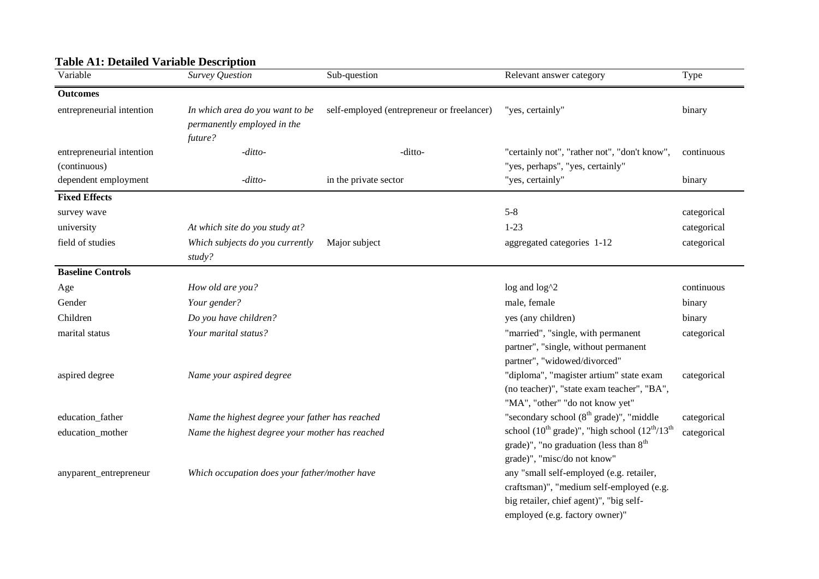# **Table A1: Detailed Variable Description**

| Variable                                  | <b>Survey Question</b>                                                    | Sub-question                               | Relevant answer category                                                                                                                                          | Type        |
|-------------------------------------------|---------------------------------------------------------------------------|--------------------------------------------|-------------------------------------------------------------------------------------------------------------------------------------------------------------------|-------------|
| <b>Outcomes</b>                           |                                                                           |                                            |                                                                                                                                                                   |             |
| entrepreneurial intention                 | In which area do you want to be<br>permanently employed in the<br>future? | self-employed (entrepreneur or freelancer) | "yes, certainly"                                                                                                                                                  | binary      |
| entrepreneurial intention<br>(continuous) | -ditto-                                                                   | -ditto-                                    | "certainly not", "rather not", "don't know",<br>"yes, perhaps", "yes, certainly"                                                                                  | continuous  |
| dependent employment                      | -ditto-                                                                   | in the private sector                      | "yes, certainly"                                                                                                                                                  | binary      |
| <b>Fixed Effects</b>                      |                                                                           |                                            |                                                                                                                                                                   |             |
| survey wave                               |                                                                           |                                            | $5 - 8$                                                                                                                                                           | categorical |
| university                                | At which site do you study at?                                            |                                            | $1-23$                                                                                                                                                            | categorical |
| field of studies                          | Which subjects do you currently<br>study?                                 | Major subject                              | aggregated categories 1-12                                                                                                                                        | categorical |
| <b>Baseline Controls</b>                  |                                                                           |                                            |                                                                                                                                                                   |             |
| Age                                       | How old are you?                                                          |                                            | log and log^2                                                                                                                                                     | continuous  |
| Gender                                    | Your gender?                                                              |                                            | male, female                                                                                                                                                      | binary      |
| Children                                  | Do you have children?                                                     |                                            | yes (any children)                                                                                                                                                | binary      |
| marital status                            | Your marital status?                                                      |                                            | "married", "single, with permanent<br>partner", "single, without permanent<br>partner", "widowed/divorced"                                                        | categorical |
| aspired degree                            | Name your aspired degree                                                  |                                            | "diploma", "magister artium" state exam<br>(no teacher)", "state exam teacher", "BA",<br>"MA", "other" "do not know yet"                                          | categorical |
| education_father                          | Name the highest degree your father has reached                           |                                            | "secondary school (8 <sup>th</sup> grade)", "middle                                                                                                               | categorical |
| education_mother                          | Name the highest degree your mother has reached                           |                                            | school $(10^{th} \text{ grade})$ ", "high school $(12^{th}/13^{th})$<br>grade)", "no graduation (less than $8th$<br>grade)", "misc/do not know"                   | categorical |
| anyparent_entrepreneur                    | Which occupation does your father/mother have                             |                                            | any "small self-employed (e.g. retailer,<br>craftsman)", "medium self-employed (e.g.<br>big retailer, chief agent)", "big self-<br>employed (e.g. factory owner)" |             |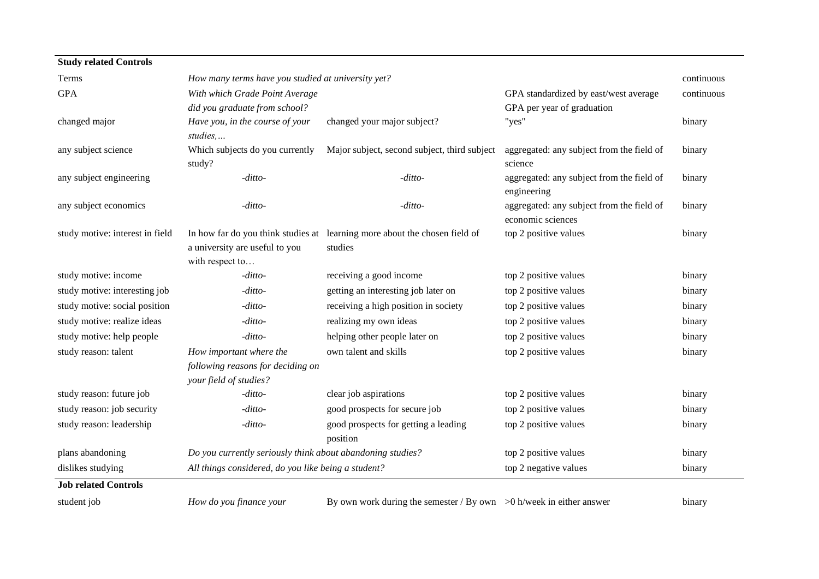| <b>Study related Controls</b>   |                                                                                        |                                                                                       |                                                                |            |
|---------------------------------|----------------------------------------------------------------------------------------|---------------------------------------------------------------------------------------|----------------------------------------------------------------|------------|
| Terms                           | How many terms have you studied at university yet?                                     |                                                                                       |                                                                | continuous |
| <b>GPA</b>                      | With which Grade Point Average                                                         |                                                                                       | GPA standardized by east/west average                          | continuous |
|                                 | did you graduate from school?                                                          |                                                                                       | GPA per year of graduation                                     |            |
| changed major                   | Have you, in the course of your<br>studies,                                            | changed your major subject?                                                           | "yes"                                                          | binary     |
| any subject science             | Which subjects do you currently<br>study?                                              | Major subject, second subject, third subject                                          | aggregated: any subject from the field of<br>science           | binary     |
| any subject engineering         | -ditto-                                                                                | $-ditto-$                                                                             | aggregated: any subject from the field of<br>engineering       | binary     |
| any subject economics           | -ditto-                                                                                | -ditto-                                                                               | aggregated: any subject from the field of<br>economic sciences | binary     |
| study motive: interest in field | a university are useful to you<br>with respect to                                      | In how far do you think studies at learning more about the chosen field of<br>studies | top 2 positive values                                          | binary     |
| study motive: income            | -ditto-                                                                                | receiving a good income                                                               | top 2 positive values                                          | binary     |
| study motive: interesting job   | -ditto-                                                                                | getting an interesting job later on                                                   | top 2 positive values                                          | binary     |
| study motive: social position   | $-ditto-$                                                                              | receiving a high position in society                                                  | top 2 positive values                                          | binary     |
| study motive: realize ideas     | -ditto-                                                                                | realizing my own ideas                                                                | top 2 positive values                                          | binary     |
| study motive: help people       | -ditto-                                                                                | helping other people later on                                                         | top 2 positive values                                          | binary     |
| study reason: talent            | How important where the<br>following reasons for deciding on<br>your field of studies? | own talent and skills                                                                 | top 2 positive values                                          | binary     |
| study reason: future job        | $-ditto-$                                                                              | clear job aspirations                                                                 | top 2 positive values                                          | binary     |
| study reason: job security      | -ditto-                                                                                | good prospects for secure job                                                         | top 2 positive values                                          | binary     |
| study reason: leadership        | -ditto-                                                                                | good prospects for getting a leading<br>position                                      | top 2 positive values                                          | binary     |
| plans abandoning                | Do you currently seriously think about abandoning studies?                             |                                                                                       | top 2 positive values                                          | binary     |
| dislikes studying               | All things considered, do you like being a student?                                    |                                                                                       | top 2 negative values                                          | binary     |
| <b>Job related Controls</b>     |                                                                                        |                                                                                       |                                                                |            |

student job *How do you finance your* By own work during the semester / By own >0 h/week in either answer binary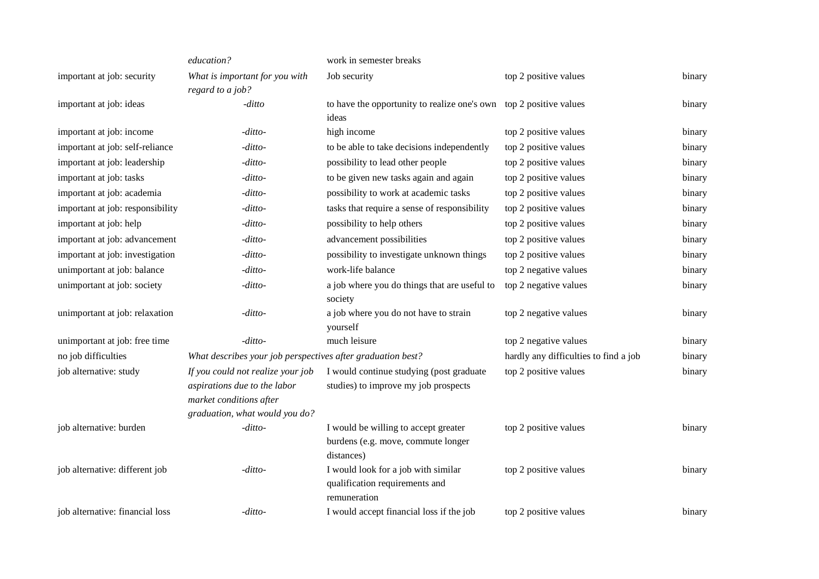|                                  | education?                                                                                | work in semester breaks                                                     |                                       |        |
|----------------------------------|-------------------------------------------------------------------------------------------|-----------------------------------------------------------------------------|---------------------------------------|--------|
| important at job: security       | What is important for you with                                                            | Job security                                                                | top 2 positive values                 | binary |
|                                  | regard to a job?                                                                          |                                                                             |                                       |        |
| important at job: ideas          | -ditto                                                                                    | to have the opportunity to realize one's own top 2 positive values<br>ideas |                                       | binary |
| important at job: income         | -ditto-                                                                                   | high income                                                                 | top 2 positive values                 | binary |
| important at job: self-reliance  | -ditto-                                                                                   | to be able to take decisions independently                                  | top 2 positive values                 | binary |
| important at job: leadership     | -ditto-                                                                                   | possibility to lead other people                                            | top 2 positive values                 | binary |
| important at job: tasks          | -ditto-                                                                                   | to be given new tasks again and again                                       | top 2 positive values                 | binary |
| important at job: academia       | -ditto-                                                                                   | possibility to work at academic tasks                                       | top 2 positive values                 | binary |
| important at job: responsibility | -ditto-                                                                                   | tasks that require a sense of responsibility                                | top 2 positive values                 | binary |
| important at job: help           | -ditto-                                                                                   | possibility to help others                                                  | top 2 positive values                 | binary |
| important at job: advancement    | -ditto-                                                                                   | advancement possibilities                                                   | top 2 positive values                 | binary |
| important at job: investigation  | -ditto-                                                                                   | possibility to investigate unknown things                                   | top 2 positive values                 | binary |
| unimportant at job: balance      | -ditto-                                                                                   | work-life balance                                                           | top 2 negative values                 | binary |
| unimportant at job: society      | -ditto-                                                                                   | a job where you do things that are useful to<br>society                     | top 2 negative values                 | binary |
| unimportant at job: relaxation   | -ditto-                                                                                   | a job where you do not have to strain<br>yourself                           | top 2 negative values                 | binary |
| unimportant at job: free time    | -ditto-                                                                                   | much leisure                                                                | top 2 negative values                 | binary |
| no job difficulties              | What describes your job perspectives after graduation best?                               |                                                                             | hardly any difficulties to find a job | binary |
| job alternative: study           | If you could not realize your job                                                         | I would continue studying (post graduate                                    | top 2 positive values                 | binary |
|                                  | aspirations due to the labor<br>market conditions after<br>graduation, what would you do? | studies) to improve my job prospects                                        |                                       |        |
| job alternative: burden          | -ditto-                                                                                   | I would be willing to accept greater                                        | top 2 positive values                 | binary |
|                                  |                                                                                           | burdens (e.g. move, commute longer                                          |                                       |        |
|                                  |                                                                                           | distances)                                                                  |                                       |        |
| job alternative: different job   | -ditto-                                                                                   | I would look for a job with similar                                         | top 2 positive values                 | binary |
|                                  |                                                                                           | qualification requirements and<br>remuneration                              |                                       |        |
| job alternative: financial loss  | -ditto-                                                                                   | I would accept financial loss if the job                                    | top 2 positive values                 | binary |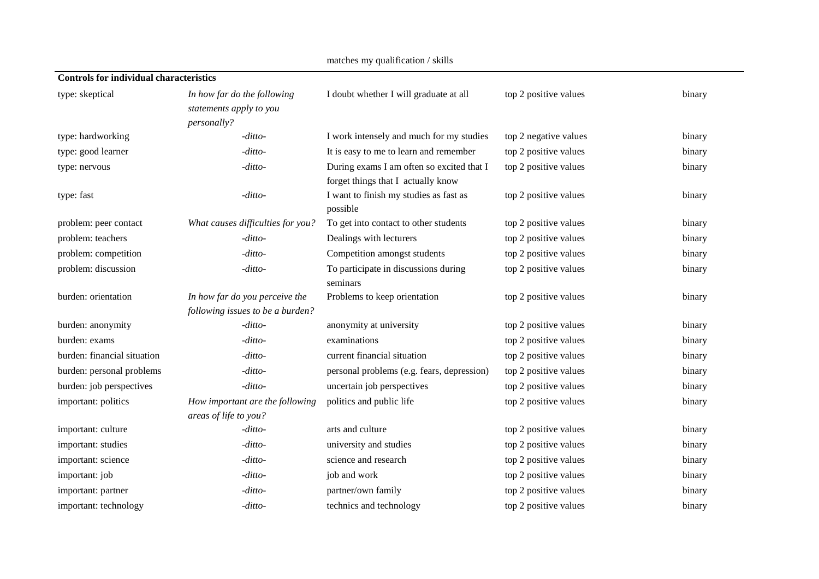| <b>Controls for individual characteristics</b> |                                                          |                                                                                 |                       |        |
|------------------------------------------------|----------------------------------------------------------|---------------------------------------------------------------------------------|-----------------------|--------|
| type: skeptical                                | In how far do the following<br>statements apply to you   | I doubt whether I will graduate at all                                          | top 2 positive values | binary |
|                                                | personally?                                              |                                                                                 |                       |        |
| type: hardworking                              | -ditto-                                                  | I work intensely and much for my studies                                        | top 2 negative values | binary |
| type: good learner                             | -ditto-                                                  | It is easy to me to learn and remember                                          | top 2 positive values | binary |
| type: nervous                                  | -ditto-                                                  | During exams I am often so excited that I<br>forget things that I actually know | top 2 positive values | binary |
| type: fast                                     | -ditto-                                                  | I want to finish my studies as fast as<br>possible                              | top 2 positive values | binary |
| problem: peer contact                          | What causes difficulties for you?                        | To get into contact to other students                                           | top 2 positive values | binary |
| problem: teachers                              | -ditto-                                                  | Dealings with lecturers                                                         | top 2 positive values | binary |
| problem: competition                           | -ditto-                                                  | Competition amongst students                                                    | top 2 positive values | binary |
| problem: discussion                            | -ditto-                                                  | To participate in discussions during<br>seminars                                | top 2 positive values | binary |
| burden: orientation                            | In how far do you perceive the                           | Problems to keep orientation                                                    | top 2 positive values | binary |
|                                                | following issues to be a burden?                         |                                                                                 |                       |        |
| burden: anonymity                              | -ditto-                                                  | anonymity at university                                                         | top 2 positive values | binary |
| burden: exams                                  | -ditto-                                                  | examinations                                                                    | top 2 positive values | binary |
| burden: financial situation                    | -ditto-                                                  | current financial situation                                                     | top 2 positive values | binary |
| burden: personal problems                      | -ditto-                                                  | personal problems (e.g. fears, depression)                                      | top 2 positive values | binary |
| burden: job perspectives                       | -ditto-                                                  | uncertain job perspectives                                                      | top 2 positive values | binary |
| important: politics                            | How important are the following<br>areas of life to you? | politics and public life                                                        | top 2 positive values | binary |
| important: culture                             | -ditto-                                                  | arts and culture                                                                | top 2 positive values | binary |
| important: studies                             | -ditto-                                                  | university and studies                                                          | top 2 positive values | binary |
| important: science                             | -ditto-                                                  | science and research                                                            | top 2 positive values | binary |
| important: job                                 | -ditto-                                                  | job and work                                                                    | top 2 positive values | binary |
| important: partner                             | -ditto-                                                  | partner/own family                                                              | top 2 positive values | binary |
| important: technology                          | -ditto-                                                  | technics and technology                                                         | top 2 positive values | binary |

matches my qualification / skills